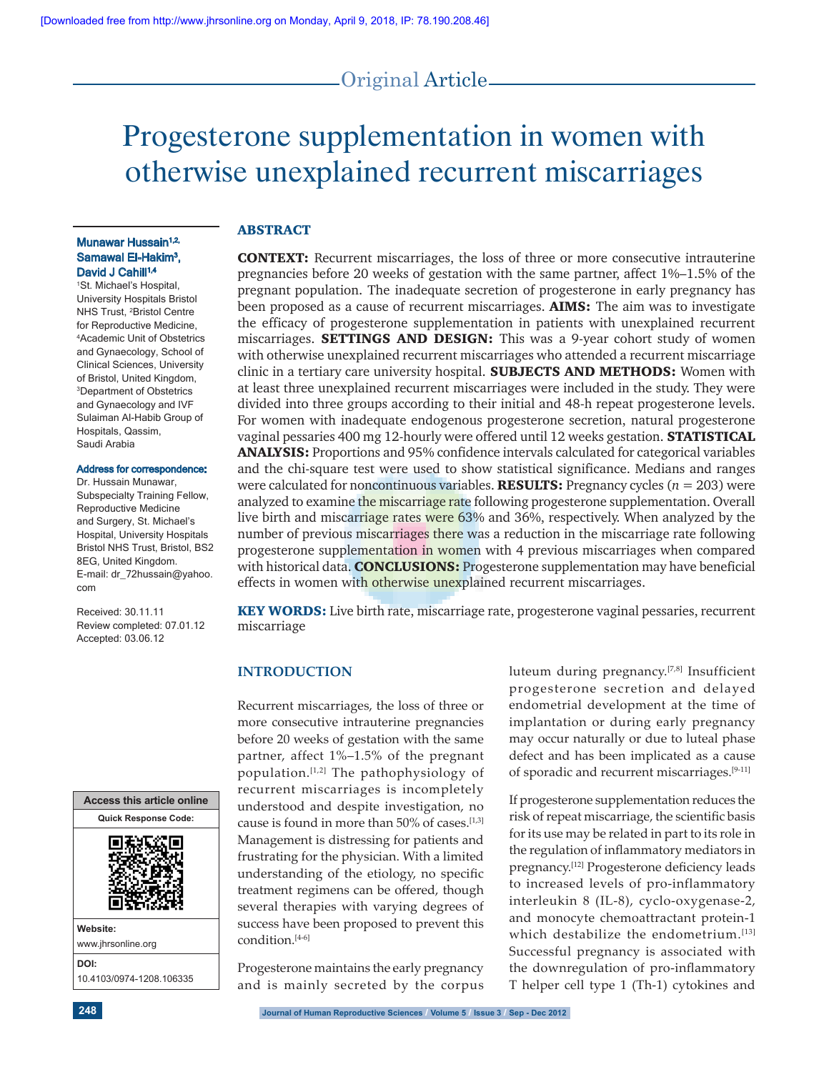# Original Article

# Progesterone supplementation in women with otherwise unexplained recurrent miscarriages

# ABSTRACT

CONTEXT: Recurrent miscarriages, the loss of three or more consecutive intrauterine pregnancies before 20 weeks of gestation with the same partner, affect 1%–1.5% of the pregnant population. The inadequate secretion of progesterone in early pregnancy has been proposed as a cause of recurrent miscarriages. **AIMS:** The aim was to investigate the efficacy of progesterone supplementation in patients with unexplained recurrent miscarriages. **SETTINGS AND DESIGN:** This was a 9-year cohort study of women with otherwise unexplained recurrent miscarriages who attended a recurrent miscarriage clinic in a tertiary care university hospital. **SUBJECTS AND METHODS:** Women with at least three unexplained recurrent miscarriages were included in the study. They were divided into three groups according to their initial and 48-h repeat progesterone levels. For women with inadequate endogenous progesterone secretion, natural progesterone vaginal pessaries 400 mg 12-hourly were offered until 12 weeks gestation. **STATISTICAL ANALYSIS:** Proportions and 95% confidence intervals calculated for categorical variables and the chi-square test were used to show statistical significance. Medians and ranges were calculated for noncontinuous variables. RESULTS: Pregnancy cycles (*n* = 203) were analyzed to examine the miscarriage rate following progesterone supplementation. Overall live birth and miscarriage rates were 63% and 36%, respectively. When analyzed by the number of previous miscarriages there was a reduction in the miscarriage rate following progesterone supplementation in women with 4 previous miscarriages when compared with historical data. **CONCLUSIONS:** Progesterone supplementation may have beneficial effects in women with otherwise unexplained recurrent miscarriages.

KEY WORDS: Live birth rate, miscarriage rate, progesterone vaginal pessaries, recurrent miscarriage

### **INTRODUCTION**

Recurrent miscarriages, the loss of three or more consecutive intrauterine pregnancies before 20 weeks of gestation with the same partner, affect 1%–1.5% of the pregnant population.<sup>[1,2]</sup> The pathophysiology of recurrent miscarriages is incompletely understood and despite investigation, no cause is found in more than 50% of cases.<sup>[1,3]</sup> Management is distressing for patients and frustrating for the physician. With a limited understanding of the etiology, no specific treatment regimens can be offered, though several therapies with varying degrees of success have been proposed to prevent this condition.[4-6]

Progesterone maintains the early pregnancy and is mainly secreted by the corpus luteum during pregnancy.[7,8] Insufficient progesterone secretion and delayed endometrial development at the time of implantation or during early pregnancy may occur naturally or due to luteal phase defect and has been implicated as a cause of sporadic and recurrent miscarriages.[9-11]

If progesterone supplementation reduces the risk of repeat miscarriage, the scientific basis for its use may be related in part to its role in the regulation of inflammatory mediators in pregnancy.[12] Progesterone deficiency leads to increased levels of pro-inflammatory interleukin 8 (IL-8), cyclo-oxygenase-2, and monocyte chemoattractant protein-1 which destabilize the endometrium.<sup>[13]</sup> Successful pregnancy is associated with the downregulation of pro-inflammatory T helper cell type 1 (Th-1) cytokines and

#### Munawar Hussain<sup>1,2,</sup> Samawal El-Hakim<sup>3</sup>, David J Cahill<sup>1,4</sup>

1 St. Michael's Hospital, University Hospitals Bristol NHS Trust, 2 Bristol Centre for Reproductive Medicine, 4 Academic Unit of Obstetrics and Gynaecology, School of Clinical Sciences, University of Bristol, United Kingdom, 3 Department of Obstetrics and Gynaecology and IVF Sulaiman Al-Habib Group of Hospitals, Qassim, Saudi Arabia

#### Address for correspondence:

Dr. Hussain Munawar, Subspecialty Training Fellow, Reproductive Medicine and Surgery, St. Michael's Hospital, University Hospitals Bristol NHS Trust, Bristol, BS2 8EG, United Kingdom. E-mail: dr\_72hussain@yahoo. com

Received: 30.11.11 Review completed: 07.01.12 Accepted: 03.06.12

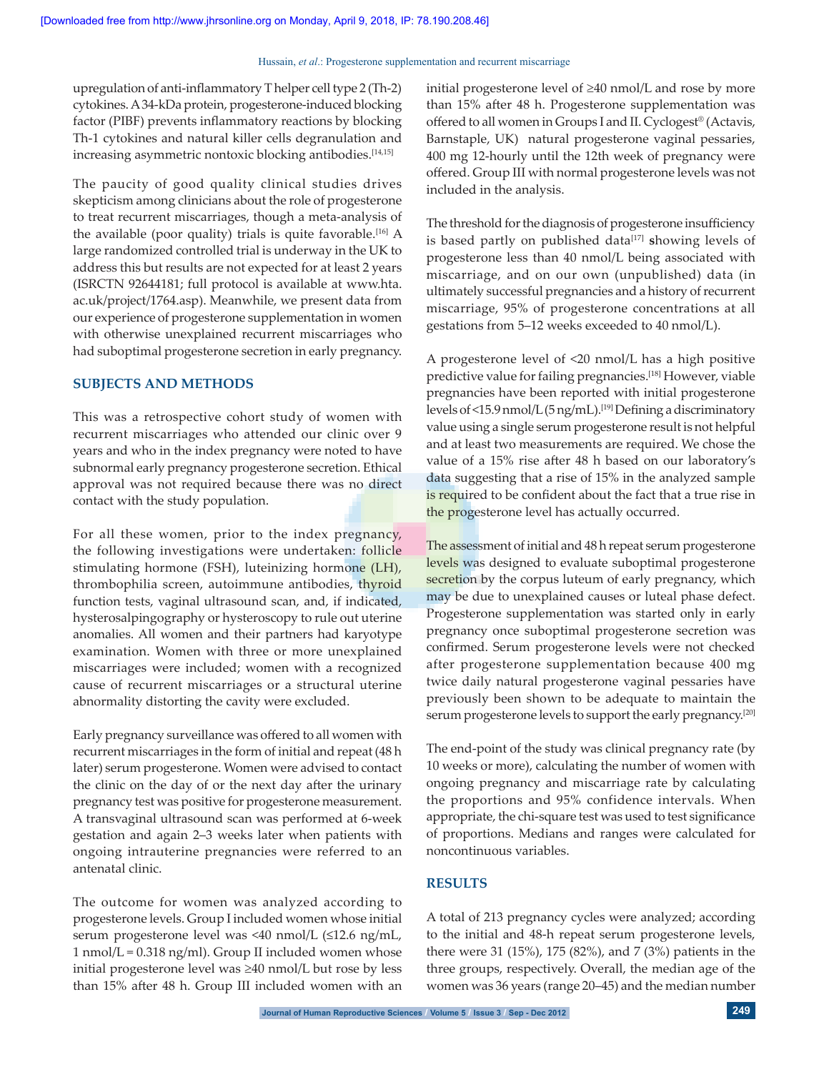#### Hussain, *et al.*: Progesterone supplementation and recurrent miscarriage

upregulation of anti-inflammatory T helper cell type 2 (Th-2) cytokines. A 34-kDa protein, progesterone-induced blocking factor (PIBF) prevents inflammatory reactions by blocking Th-1 cytokines and natural killer cells degranulation and increasing asymmetric nontoxic blocking antibodies.<sup>[14,15]</sup>

The paucity of good quality clinical studies drives skepticism among clinicians about the role of progesterone to treat recurrent miscarriages, though a meta-analysis of the available (poor quality) trials is quite favorable.<sup>[16]</sup> A large randomized controlled trial is underway in the UK to address this but results are not expected for at least 2 years (ISRCTN 92644181; full protocol is available at www.hta. ac.uk/project/1764.asp). Meanwhile, we present data from our experience of progesterone supplementation in women with otherwise unexplained recurrent miscarriages who had suboptimal progesterone secretion in early pregnancy.

#### **SUBJECTS AND METHODS**

This was a retrospective cohort study of women with recurrent miscarriages who attended our clinic over 9 years and who in the index pregnancy were noted to have subnormal early pregnancy progesterone secretion. Ethical approval was not required because there was no direct contact with the study population.

For all these women, prior to the index pregnancy, the following investigations were undertaken: follicle stimulating hormone (FSH), luteinizing hormone (LH), thrombophilia screen, autoimmune antibodies, thyroid function tests, vaginal ultrasound scan, and, if indicated, hysterosalpingography or hysteroscopy to rule out uterine anomalies. All women and their partners had karyotype examination. Women with three or more unexplained miscarriages were included; women with a recognized cause of recurrent miscarriages or a structural uterine abnormality distorting the cavity were excluded.

Early pregnancy surveillance was offered to all women with recurrent miscarriages in the form of initial and repeat (48 h later) serum progesterone. Women were advised to contact the clinic on the day of or the next day after the urinary pregnancy test was positive for progesterone measurement. A transvaginal ultrasound scan was performed at 6-week gestation and again 2–3 weeks later when patients with ongoing intrauterine pregnancies were referred to an antenatal clinic.

The outcome for women was analyzed according to progesterone levels. Group I included women whose initial serum progesterone level was <40 nmol/L (≤12.6 ng/mL,  $1$  nmol/L = 0.318 ng/ml). Group II included women whose initial progesterone level was ≥40 nmol/L but rose by less than 15% after 48 h. Group III included women with an initial progesterone level of ≥40 nmol/L and rose by more than 15% after 48 h. Progesterone supplementation was offered to all women in Groups I and II. Cyclogest® (Actavis, Barnstaple, UK) natural progesterone vaginal pessaries, 400 mg 12-hourly until the 12th week of pregnancy were offered. Group III with normal progesterone levels was not included in the analysis.

The threshold for the diagnosis of progesterone insufficiency is based partly on published data<sup>[17]</sup> showing levels of progesterone less than 40 nmol/L being associated with miscarriage, and on our own (unpublished) data (in ultimately successful pregnancies and a history of recurrent miscarriage, 95% of progesterone concentrations at all gestations from 5–12 weeks exceeded to 40 nmol/L).

A progesterone level of <20 nmol/L has a high positive predictive value for failing pregnancies.<sup>[18]</sup> However, viable pregnancies have been reported with initial progesterone levels of <15.9 nmol/L (5 ng/mL).[19] Defining a discriminatory value using a single serum progesterone result is not helpful and at least two measurements are required. We chose the value of a 15% rise after 48 h based on our laboratory's data suggesting that a rise of 15% in the analyzed sample is required to be confident about the fact that a true rise in the progesterone level has actually occurred.

The assessment of initial and 48 h repeat serum progesterone levels was designed to evaluate suboptimal progesterone secretion by the corpus luteum of early pregnancy, which may be due to unexplained causes or luteal phase defect. Progesterone supplementation was started only in early pregnancy once suboptimal progesterone secretion was confirmed. Serum progesterone levels were not checked after progesterone supplementation because 400 mg twice daily natural progesterone vaginal pessaries have previously been shown to be adequate to maintain the serum progesterone levels to support the early pregnancy.<sup>[20]</sup>

The end-point of the study was clinical pregnancy rate (by 10 weeks or more), calculating the number of women with ongoing pregnancy and miscarriage rate by calculating the proportions and 95% confidence intervals. When appropriate, the chi-square test was used to test significance of proportions. Medians and ranges were calculated for noncontinuous variables.

#### **RESULTS**

A total of 213 pregnancy cycles were analyzed; according to the initial and 48-h repeat serum progesterone levels, there were 31 (15%), 175 (82%), and 7 (3%) patients in the three groups, respectively. Overall, the median age of the women was 36 years (range 20–45) and the median number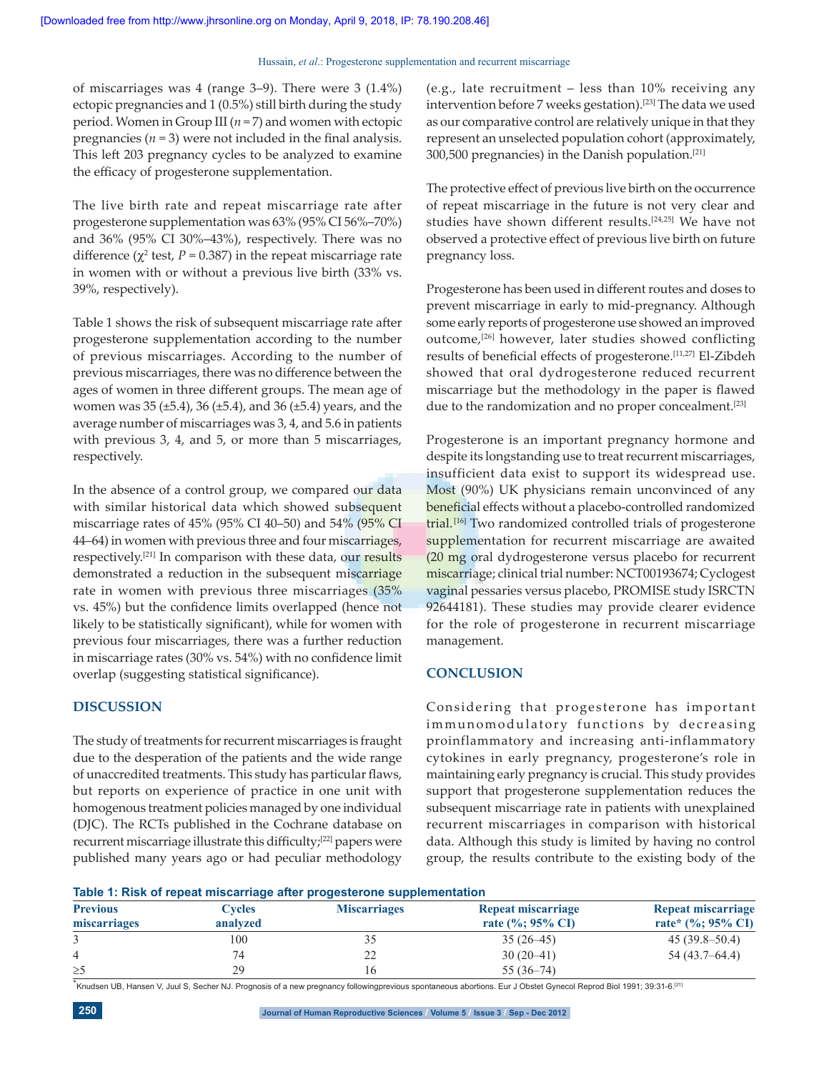#### Hussain, *et al.*: Progesterone supplementation and recurrent miscarriage

of miscarriages was 4 (range 3–9). There were 3 (1.4%) ectopic pregnancies and 1 (0.5%) still birth during the study period. Women in Group III (*n* = 7) and women with ectopic pregnancies  $(n = 3)$  were not included in the final analysis. This left 203 pregnancy cycles to be analyzed to examine the efficacy of progesterone supplementation.

The live birth rate and repeat miscarriage rate after progesterone supplementation was 63% (95% CI 56%–70%) and 36% (95% CI 30%–43%), respectively. There was no difference ( $\chi^2$  test,  $P = 0.387$ ) in the repeat miscarriage rate in women with or without a previous live birth (33% vs. 39%, respectively).

Table 1 shows the risk of subsequent miscarriage rate after progesterone supplementation according to the number of previous miscarriages. According to the number of previous miscarriages, there was no difference between the ages of women in three different groups. The mean age of women was 35 (±5.4), 36 (±5.4), and 36 (±5.4) years, and the average number of miscarriages was 3, 4, and 5.6 in patients with previous 3, 4, and 5, or more than 5 miscarriages, respectively.

In the absence of a control group, we compared our data with similar historical data which showed subsequent miscarriage rates of 45% (95% CI 40–50) and 54% (95% CI 44–64) in women with previous three and four miscarriages, respectively.<sup>[21]</sup> In comparison with these data, our results demonstrated a reduction in the subsequent miscarriage rate in women with previous three miscarriages (35% vs. 45%) but the confidence limits overlapped (hence not likely to be statistically significant), while for women with previous four miscarriages, there was a further reduction in miscarriage rates (30% vs. 54%) with no confidence limit overlap (suggesting statistical significance).

#### **DISCUSSION**

The study of treatments for recurrent miscarriages is fraught due to the desperation of the patients and the wide range of unaccredited treatments. This study has particular flaws, but reports on experience of practice in one unit with homogenous treatment policies managed by one individual (DJC). The RCTs published in the Cochrane database on recurrent miscarriage illustrate this difficulty;[22] papers were published many years ago or had peculiar methodology (e.g., late recruitment – less than 10% receiving any intervention before 7 weeks gestation).<sup>[23]</sup> The data we used as our comparative control are relatively unique in that they represent an unselected population cohort (approximately, 300,500 pregnancies) in the Danish population.[21]

The protective effect of previous live birth on the occurrence of repeat miscarriage in the future is not very clear and studies have shown different results.[24,25] We have not observed a protective effect of previous live birth on future pregnancy loss.

Progesterone has been used in different routes and doses to prevent miscarriage in early to mid-pregnancy. Although some early reports of progesterone use showed an improved outcome,[26] however, later studies showed conflicting results of beneficial effects of progesterone.<sup>[11,27]</sup> El-Zibdeh showed that oral dydrogesterone reduced recurrent miscarriage but the methodology in the paper is flawed due to the randomization and no proper concealment.<sup>[23]</sup>

Progesterone is an important pregnancy hormone and despite its longstanding use to treat recurrent miscarriages, insufficient data exist to support its widespread use. Most (90%) UK physicians remain unconvinced of any beneficial effects without a placebo-controlled randomized trial.<sup>[16]</sup> Two randomized controlled trials of progesterone supplementation for recurrent miscarriage are awaited (20 mg oral dydrogesterone versus placebo for recurrent miscarriage; clinical trial number: NCT00193674; Cyclogest vaginal pessaries versus placebo, PROMISE study ISRCTN 92644181). These studies may provide clearer evidence for the role of progesterone in recurrent miscarriage management.

#### **CONCLUSION**

Considering that progesterone has important im munomodulatory functions by decreasing proinflammatory and increasing anti-inflammatory cytokines in early pregnancy, progesterone's role in maintaining early pregnancy is crucial. This study provides support that progesterone supplementation reduces the subsequent miscarriage rate in patients with unexplained recurrent miscarriages in comparison with historical data. Although this study is limited by having no control group, the results contribute to the existing body of the

**Table 1: Risk of repeat miscarriage after progesterone supplementation**

| <b>Previous</b><br>miscarriages | Cycles<br>analyzed | <b>Miscarriages</b> | Repeat miscarriage<br>rate $(\%; 95\% \text{ CI})$ | Repeat miscarriage<br>rate* $(\%; 95\% \text{ CI})$ |
|---------------------------------|--------------------|---------------------|----------------------------------------------------|-----------------------------------------------------|
|                                 |                    |                     |                                                    |                                                     |
| 4                               | 74                 | າາ<br>∠∠            | $30(20-41)$                                        | $54(43.7-64.4)$                                     |
| $\geq$ 5                        | 29                 |                     | $55(36-74)$                                        |                                                     |

\*Knudsen UB, Hansen V, Juul S, Secher NJ. Prognosis of a new pregnancy followingprevious spontaneous abortions. Eur J Obstet Gynecol Reprod Biol 1991; 39:31-6.<sup>[21]</sup>